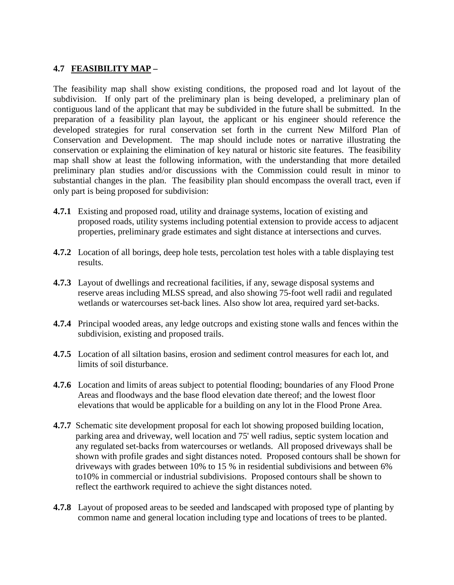## **4.7 FEASIBILITY MAP –**

The feasibility map shall show existing conditions, the proposed road and lot layout of the subdivision. If only part of the preliminary plan is being developed, a preliminary plan of contiguous land of the applicant that may be subdivided in the future shall be submitted. In the preparation of a feasibility plan layout, the applicant or his engineer should reference the developed strategies for rural conservation set forth in the current New Milford Plan of Conservation and Development. The map should include notes or narrative illustrating the conservation or explaining the elimination of key natural or historic site features. The feasibility map shall show at least the following information, with the understanding that more detailed preliminary plan studies and/or discussions with the Commission could result in minor to substantial changes in the plan. The feasibility plan should encompass the overall tract, even if only part is being proposed for subdivision:

- **4.7.1** Existing and proposed road, utility and drainage systems, location of existing and proposed roads, utility systems including potential extension to provide access to adjacent properties, preliminary grade estimates and sight distance at intersections and curves.
- **4.7.2** Location of all borings, deep hole tests, percolation test holes with a table displaying test results.
- **4.7.3** Layout of dwellings and recreational facilities, if any, sewage disposal systems and reserve areas including MLSS spread, and also showing 75-foot well radii and regulated wetlands or watercourses set-back lines. Also show lot area, required yard set-backs.
- **4.7.4** Principal wooded areas, any ledge outcrops and existing stone walls and fences within the subdivision, existing and proposed trails.
- **4.7.5** Location of all siltation basins, erosion and sediment control measures for each lot, and limits of soil disturbance.
- **4.7.6** Location and limits of areas subject to potential flooding; boundaries of any Flood Prone Areas and floodways and the base flood elevation date thereof; and the lowest floor elevations that would be applicable for a building on any lot in the Flood Prone Area.
- **4.7.7** Schematic site development proposal for each lot showing proposed building location, parking area and driveway, well location and 75' well radius, septic system location and any regulated set-backs from watercourses or wetlands. All proposed driveways shall be shown with profile grades and sight distances noted. Proposed contours shall be shown for driveways with grades between 10% to 15 % in residential subdivisions and between 6% to10% in commercial or industrial subdivisions. Proposed contours shall be shown to reflect the earthwork required to achieve the sight distances noted.
- **4.7.8** Layout of proposed areas to be seeded and landscaped with proposed type of planting by common name and general location including type and locations of trees to be planted.